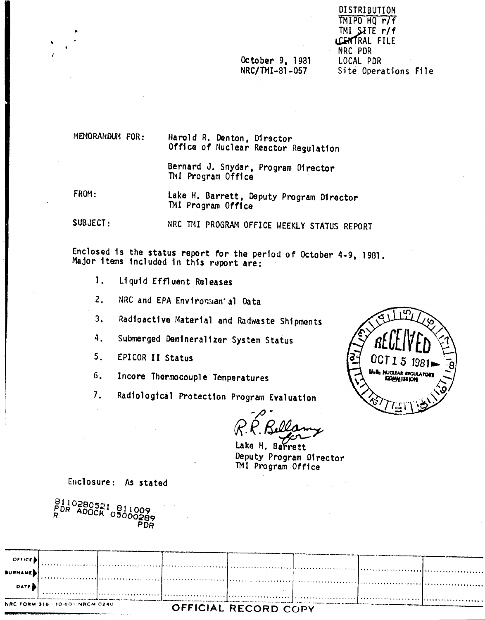**DISTRIBUTION** TMIPO HQ r/f TMI SITE r/f LCENTRAL FILE NRC PDR LOCAL PDR Site Operations File

# October 9, 1981 NRC/TMI-81-057

MEMORANDUM FOR.

Harold R. Denton, Director Office of Nuclear Reactor Regulation

Bernard J. Snyder, Program Director TMI Program Office

FROM: Lake H. Barrett, Deputy Program Director TMI Program Office

SUBJECT: NRC TMI PROGRAM OFFICE WEEKLY STATUS REPORT

Enclosed is the status report for the period of October 4-9, 1981. Major items included in this report are:

- $\mathbf{1}$ . Liquid Effluent Releases
- $2.$ NRC and EPA Environman' al Data
- Radioactive Material and Radwaste Shipments  $3.$
- Submerged Demineralizer System Status 4.
- $5<sub>1</sub>$ EPICOR II Status

6. Incore Thermocouple Temperatures

Radiological Protection Program Evaluation  $7.$ 

Lake H. Barrett Deputy Program Director TMI Program Office

Enclosure: As stated

| 8110280521 811009<br>PDR ADOCK 05000289<br>Php |  |
|------------------------------------------------|--|
|------------------------------------------------|--|

| $O$ <i>FFICE</i> |                                 |                                                                                                                |                      |  |  |
|------------------|---------------------------------|----------------------------------------------------------------------------------------------------------------|----------------------|--|--|
| <b>BURNAMES</b>  |                                 |                                                                                                                |                      |  |  |
| <b>DATE</b>      |                                 |                                                                                                                |                      |  |  |
|                  |                                 | . In the contract of community of a community of the community fraction of a community of the community of the |                      |  |  |
|                  | NRC FORM 318 +10-80+ NRCM 0240. |                                                                                                                | OFFICIAL RECORD CODY |  |  |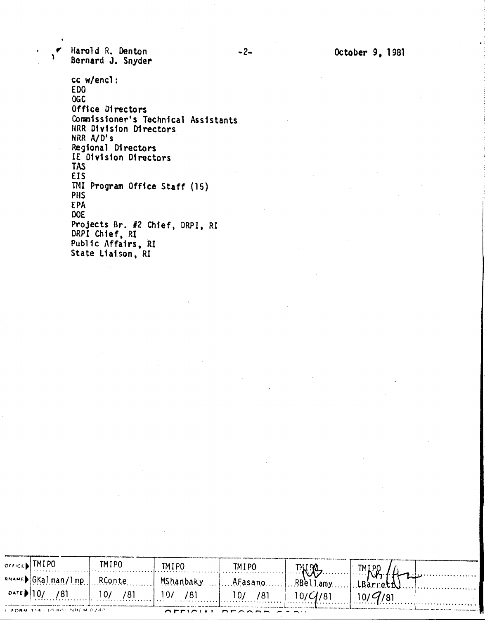~ Harol d R. Denton <sup>1</sup> Bernard J. Snyder

> cc w/encl : EDO OGC Office Directors Commissioner's Technical Assistar **RRR Division Director** NRR A/D's Regional Directors IE Division Directors TAS EIS TI4I Program Office Staff (15) PHS EPA DOE Projects Br. #2 Chief, DRPI, RI DRPI Chief, RI Public Affairs, RI State Liaison, RI

| $O(f)$ $F \in \mathbb{R}$ TMI PO   |                                   | TM I PO.                | TM I PO          | TMI PO  | $\mathbb{E} \left[ \mathbb{E} \left[ \mathbb{E} \left[ \mathbb{E} \left[ \mathbb{E} \left[ \mathbb{E} \left[ \mathbb{E} \left[ \mathbb{E} \left[ \mathbb{E} \left[ \mathbb{E} \left[ \mathbb{E} \left[ \mathbb{E} \left[ \mathbb{E} \left[ \mathbb{E} \left[ \mathbb{E} \left[ \mathbb{E} \left[ \mathbb{E} \left[ \mathbb{E} \left[ \mathbb{E} \left[ \mathbb{E} \left[ \mathbb{E} \left[ \mathbb{E} \left[ \mathbb{E} \left[ \mathbb{E} \left[ \mathbb{$ | TMIP.0 |                                                |
|------------------------------------|-----------------------------------|-------------------------|------------------|---------|------------------------------------------------------------------------------------------------------------------------------------------------------------------------------------------------------------------------------------------------------------------------------------------------------------------------------------------------------------------------------------------------------------------------------------------------------------|--------|------------------------------------------------|
|                                    | <b>BNAMED</b> GKalman/lmp. RConte |                         | MShanbakyAFasano |         | RBelJamy                                                                                                                                                                                                                                                                                                                                                                                                                                                   |        | . <del>T</del> redeservative constructions and |
| <b>DATE</b>                        | /81<br>.                          | $10/$ /81<br>. <b>.</b> | 10/<br>- 781     | 10/ /81 | 10/C//81                                                                                                                                                                                                                                                                                                                                                                                                                                                   |        |                                                |
| . /° €OBM 119. 30.80. NR/°M 02.40. |                                   |                         |                  |         |                                                                                                                                                                                                                                                                                                                                                                                                                                                            |        |                                                |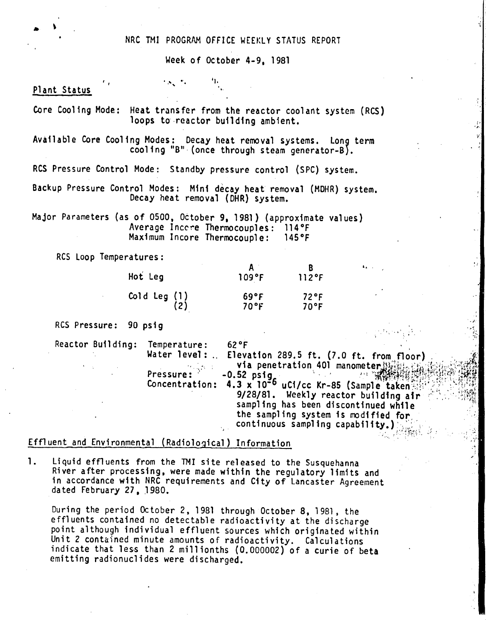### NRC TMI PROGRAM OFFICE WEEKLY STATUS REPORT

Week of October 4-9, 1981

#### Plant Status

Core Cooling Mode: Heat transfer from the reactor coolant system (RCS) loops to reactor building ambient.

Available Core Cooling Modes: Decay heat removal systems. Long term cooling "B" (once through steam generator-B).

RCS Pressure Control Mode: Standby pressure control (SPC) system.

 $\sim$   $\sim$   $\sim$   $\sim$ .', .'.

Backup Pressure Control Modes: Mini decay heat removal (MOHR) system. Decay heat removal (OHR) system.

Major Parameters (as of 0500, October 9, 1981) (approximate values) Average Inccre Thermocouples: 114°F Maximum Incore Thermocouple: 145°F

RCS Loop Temperatures:

| Hot Leg             | 109°F           | $112$ °F              |
|---------------------|-----------------|-----------------------|
| (1) Cold Leg<br>(2) | 69°F<br>$70$ °F | 72°F<br>$70^{\circ}F$ |

Res Pressure: 90 psig

Reactor Building: Temperature: 62°F

Water level:.. Elevation 289.5 ft. (7.0 ft. from floor) via penetration 401 manometer Hinds f  $\int d\omega \, d\omega \, d\omega$ *.. ;i',t., "; ~..t';* ~''1',/'.vr,. *t.~,."* Pressure: .. 0 52 si . *J'I ."; . ~""",)"l'-jt.\,',* ",;~.tt.'.,••...•~'i:  $\begin{bmatrix} \text{C} & -\text{C} & \text{C} & \text{C} & \text{C} & \text{C} & \text{C} & \text{C} & \text{C} & \text{C} & \text{C} & \text{C} & \text{C} & \text{C} & \text{C} & \text{C} & \text{C} & \text{C} & \text{C} & \text{C} & \text{C} & \text{C} & \text{C} & \text{C} & \text{C} & \text{C} & \text{C} & \text{C} & \text{C} & \text{C} & \text{C} & \text{C} & \text{C} & \text{C} & \text{C} & \text{$ 9/28/81. Weekly reactor building air sampling has been discontinued while the sampling system is modified for, continuous sampling capability.)

 $\mathbf{L}$ ,

 $\mathcal{L}(\mathcal{X}_{\mathcal{X}_1},\mathcal{X}_{\mathcal{X}_2})$ 

 $\mathcal{N}_{\mathcal{N}}$  .

:...

, . ,

.;

## Effluent and Environmental (Radiological) Information

1. Liquid effluents from the 1M1 site released to the Susquehanna River after processing, were made within the regulatory limits and in accordance with NRC requirements and City of Lancaster Agreement dated February 27, 1980.

During the period October 2, 1981 through October 8, 1981, the effluents contained no detectable radioactivity at the discharge point although individual effluent sources which originated within Unit 2 contained minute amounts of radioactivity. Calculations indicate that less than 2 millionths (0.000002) of a curie of beta emitting radionuclides were discharged.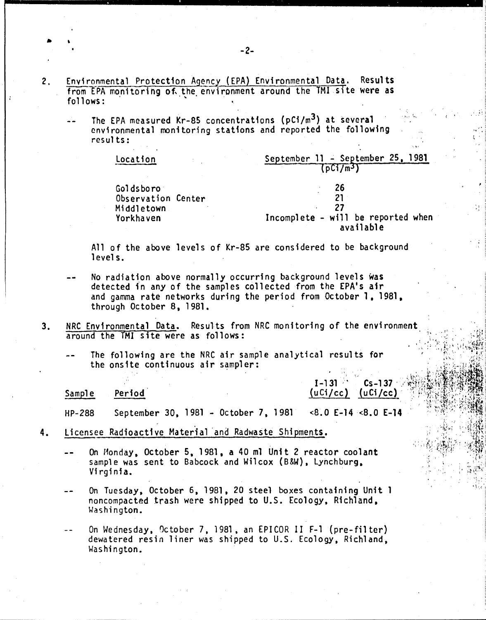- **Results**  $2.$ Environmental Protection Agency (EPA) Environmental Data. from EPA monitoring of the environment around the TMI site were as follows:
	- The EPA measured Kr-85 concentrations (pCi/m<sup>3</sup>) at several environmental monitoring stations and reported the following  $result:$

| Location                                                   | September 11 - September 25, 1981<br>[DCI/m3]                       |
|------------------------------------------------------------|---------------------------------------------------------------------|
| Goldsboro<br>Observation Center<br>Middletown<br>Yorkhaven | - 26<br>21<br>27<br>Incomplete - will be reported when<br>available |

All of the above levels of Kr-85 are considered to be background levels.

- No radiation above normally occurring background levels was detected in any of the samples collected from the EPA's air and gamma rate networks during the period from October 1, 1981, through October 8, 1981.
- NRC Environmental Data. Results from NRC monitoring of the environment  $3<sub>1</sub>$ around the TMI site were as follows:
	- The following are the NRC air sample analytical results for the onsite continuous air sampler:

Period **Sample** 

 $1 - 131$  $Cs - 137$  $(uCi/cc)$   $(uCi/cc)$ 

September 30, 1981 - October 7, 1981  $<8.0$  E-14  $<8.0$  E-14 **HP-288** 

- Licensee Radioactive Material and Radwaste Shipments. 4.
	- On Monday, October 5, 1981, a 40 ml Unit 2 reactor coolant sample was sent to Babcock and Wilcox (B&W), Lynchburg, Virginia.
	- On Tuesday, October 6, 1981, 20 steel boxes containing Unit 1  $$ noncompacted trash were shipped to U.S. Ecology, Richland, Washington.

On Wednesday, October 7, 1981, an EPICOR II F-1 (pre-filter) dewatered resin liner was shipped to U.S. Ecology, Richland. Washington.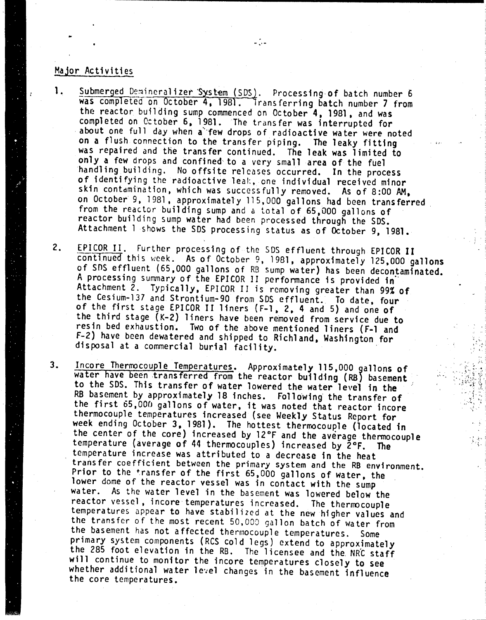## Major Activities

1. Submerged Demineralizer System (SDS). Processing of batch number 6 was completed on October 4, 1981. Transferring batch number 7 from the reactor building sump commenced on October 4, 1981, and was completed on October 6, 1981. The transfer was interrupted for about one full day when a few drops of radioactive water were noted On a flush connection to the transfer piping. The leaky fitting was repaired and the transfer continued. The leak was limited to only a few drops and confined to a very small area of the fuel handling building. No offsite releases occurred. In the process of identifying the radioactive leal:, one individual received minor skin contamination, which was successfully removed. As of 8:00 AM, on October 9, 1981, approximately 115,000 gallons had been transferred. from the reactor building sump and a total of 65,000 gallons of reactor building sump water had been processed through the 50S. Attachment 1 shows the SOS processing status as of October 9, 1981.

- ~.-

2. EPICOR II. Further processing of the SDS effluent through EPICOR II continued this week. As of October 9, 1981, approximately 125,000 gallons of SOS effluent (65.000 gallons of RB Sump water) has been decontaminated. A processing summary of the EPICOR II performance is provided in Attachment 2. Typically, EPICOR II is removing greater than 99% of the Cesium-137 and Strontium-90 from SDS effluent. To date, four of the first stage EPICOR II liners (F-1, 2, 4 and 5) and one of the third stage (K-2) liners have been removed from service due to resin bed exhaustion. Two of the above mentioned 1iners (F-l and F-2) have been dewatered and shipped to Richland. Washington for disposal at a commercial burial facility. .

.;\.  $, \cdot \}$ 

Incore Thermocouple Temperatures. Approximately 115,000 gallons of water have been transferred from the reactor building (RB) basement to the SDS. This transfer of water lowered the water level in the RB basement by approximately 18 inches. Following' the transfer of the first 65,000 gallons of water, it was noted that reactor incore thermocouple temperatures increased (see Weekly Status Report for week ending October 3.1981). The hottest thermocouple (located in the center of the core) increased by 12°F and the average thermocouple temperature (average of 44 thermocouples) increased by 2°F. The temperature increase was attributed to a decrease in the heat transfer coefficient between the primary system and the RB environment. Prior to the transfer of the first *65,000* gallons of water. the lower dome of the reactor vessel was in contact with the sump water. As the water level in the basement was lowered below the reactor vessel, incore temperatures increased. The thermocouple temperatures appear to have stabilized at the new higher values and the transfer of the most recent *50,000* gallon batch of water from the basement has not affected thermocouple temperatures. Some primary system components (RCS cold legs) extend to approximately the 285 foot elevation in the RB. The licensee and the NRC staff will continue to monitor the incore temperatures closely to see whether additional water level changes in the basement influence the core temperatures. 3.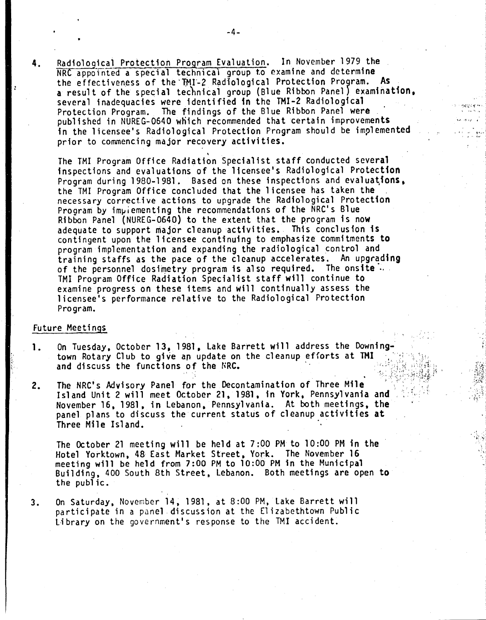4. Radiological Protection Program Evaluation. In November 1979 the NRC appointed a special technical group to examine and determine the effectiveness of the TMI-2 Radiological Protection Program. As a result of the special technical group (Blue Ribbon Panel) examination. several inadequacies were identified in the TMI-2 Radiological<br>Protection Program. The findings of the Blue Ribbon Panel were The findings of the Blue Ribbon Panel were published in NUREG-0640 which recommended that certain improvements in the licensee's Radiological Protection Program should be implemented prior to commencing major recovery activities. ,

~ '" " ..~

 $\sim$  ...  $\sim$  $\cdot$  ,  $\cdot$ 

The TMI Program Office Radiation Specialist staff conducted several inspections and evaluations of the licensee's Radiological Protection Program during 1980-1981. Based on these inspections and evaluations. the TMI Program Office concluded that the licensee has taken the . necessary corrective actions to upgrade the Radiological Protection Program by implementing the recommendations of the NRC's Blue Ribbon Panel (NUREG-0640) to the extent that the program is now adequate to support major cleanup activities. This conclusion is contingent upon the licensee continuing to emphasize commitments to program implementation and expanding the radiological control and training staffs as the pace of the cleanup accelerates. An upgrading of the personnel dosimetry program is also required. The onsite  $\ldots$ TMI Program Office Radiation Specialist staff will continue to examine progress on these items and will continually assess the licensee's performance relative to the Radiological Protection Program.

#### Future Meetings

.'  $\sum_{i=1}^N$ .

- 1. On Tuesday, October 13. 1981, lake Barrett will address the Downingtown Rotary Club to give *an* update on the cleanup efforts at TMI and discuss the functions of the NRC. .
- 2. The NRC's Advisory Panel for the Decontamination of Three Mile Island Unit 2 will meet October 21, 1981, in York, Pennsylvania and November 16, 1981 , in lebanon. Pennsylvania. At both meet ings, the panel plans to discuss the current status of cleanup activities at Three Mile Island. .

The October 21 meeting will be held at 7:00 PM to 10:00 PM in the Hotel Yorktown, 48 East Market Street. York. The November 16 meeting will be held from 7:00 PM to 10:00 PM in the Municipal Building, 400 South 8th Street. lebanon. Both meetings are open to the public.

3. On Saturday. November 14, 1981. at 8:00 PM. lake Barrett will participate in a panel discussion at the Elizabethtown Public Library on the government's response to the TMI accident.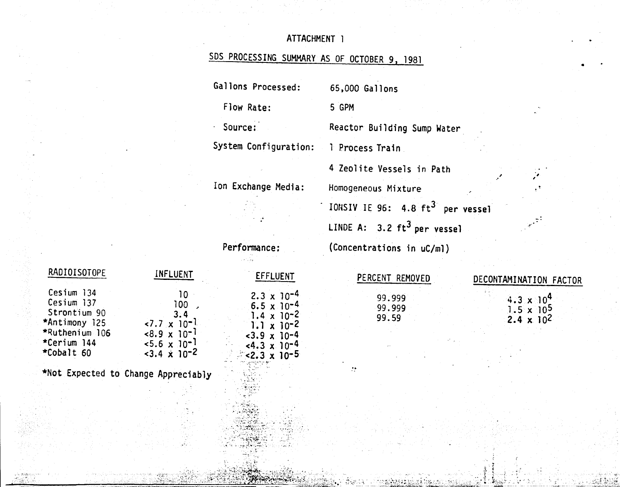# ATTACHMENT 1

# SDS PROCESSING SUMMARY AS OF OCTOBER 9, 1981

Gallons Processed:

Flow Rate:

Source:

System Configuration:

5 GPM

65,000 Gallons

Reactor Building Sump Water

4 Zeolite Vessels in Path

1 Process Train

÷.

Ion Exchange Media:

Homogeneous Mixture IONSIV IE 96: 4.8 ft<sup>3</sup> per vessel LINDE A:  $3.2 \text{ ft}^3$  per vessel  $(C<sub>O</sub>)$ 

Performance:

**EFFLUENT** 

 $2.3 \times 10^{-4}$ 

 $6.5 \times 10^{-4}$ 

 $1.4 \times 10^{-2}$ 

 $1.1 \times 10^{-2}$ 

 $-3.9 \times 10^{-4}$ <br>  $-4.3 \times 10^{-4}$ <br>  $-2.3 \times 10^{-5}$ 

| )ncentrations in uC/ml) |  |
|-------------------------|--|
|                         |  |

| <b>INFLUENT</b>           |
|---------------------------|
| 10                        |
| 100                       |
| 3.4                       |
| $\sim 7.7 \times 10^{-1}$ |
| $<8.9 \times 10^{-1}$     |
| $5.6 \times 10^{-1}$      |
| $3.4 \times 10^{-2}$      |
|                           |

\*Not Expected to Change Appreciably

PERCENT REMOVED 99.999 99.999 99.59

# DECONTAMINATION FACTOR  $4.3 \times 10^4$ <br>1.5 x 105<br>2.4 x 102